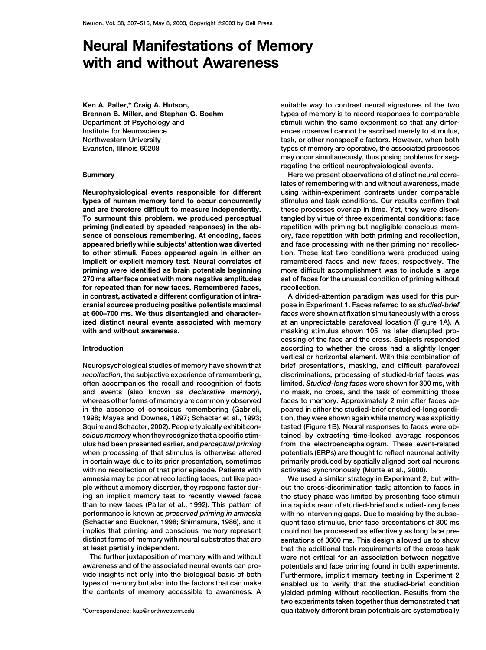# **Neural Manifestations of Memory with and without Awareness**

**Ken A. Paller,\* Craig A. Hutson, Brennan B. Miller, and Stephan G. Boehm Department of Psychology and**

**for repeated than for new faces. Remembered faces, recollection. in contrast, activated a different configuration of intra- A divided-attention paradigm was used for this pur-**

with no recollection of that prior episode. Patients with activated synchronously (Münte et al., 2000). **amnesia may be poor at recollecting faces, but like peo- We used a similar strategy in Experiment 2, but withple without a memory disorder, they respond faster dur- out the cross-discrimination task; attention to faces in ing an implicit memory test to recently viewed faces the study phase was limited by presenting face stimuli than to new faces (Paller et al., 1992). This pattern of in a rapid stream of studied-brief and studied-long faces performance is known as** *preserved priming in amnesia* **with no intervening gaps. Due to masking by the subse- (Schacter and Buckner, 1998; Shimamura, 1986), and it quent face stimulus, brief face presentations of 300 ms implies that priming and conscious memory represent could not be processed as effectively as long face predistinct forms of memory with neural substrates that are sentations of 3600 ms. This design allowed us to show**

**suitable way to contrast neural signatures of the two types of memory is to record responses to comparable stimuli within the same experiment so that any differ-Institute for Neuroscience ences observed cannot be ascribed merely to stimulus, Northwestern University task, or other nonspecific factors. However, when both** Evanston, Illinois 60208 **the associated processes types of memory are operative, the associated processes may occur simultaneously, thus posing problems for segregating the critical neurophysiological events.**

**Summary Here we present observations of distinct neural correlates of remembering with and without awareness, made Neurophysiological events responsible for different using within-experiment contrasts under comparable types of human memory tend to occur concurrently stimulus and task conditions. Our results confirm that and are therefore difficult to measure independently. these processes overlap in time. Yet, they were disen-To surmount this problem, we produced perceptual tangled by virtue of three experimental conditions: face priming (indicated by speeded responses) in the ab- repetition with priming but negligible conscious memsence of conscious remembering. At encoding, faces ory, face repetition with both priming and recollection, appeared briefly while subjects' attention was diverted and face processing with neither priming nor recollecto other stimuli. Faces appeared again in either an tion. These last two conditions were produced using implicit or explicit memory test. Neural correlates of remembered faces and new faces, respectively. The priming were identified as brain potentials beginning more difficult accomplishment was to include a large 270 ms after face onset with more negative amplitudes set of faces for the unusual condition of priming without**

**cranial sources producing positive potentials maximal pose in Experiment 1. Faces referred to as** *studied-brief* **at 600–700 ms. We thus disentangled and character-** *faces* **were shown at fixation simultaneously with a cross ized distinct neural events associated with memory at an unpredictable parafoveal location (Figure 1A). A** with and without awareness. *masking stimulus shown 105 ms later disrupted pro***cessing of the face and the cross. Subjects responded Introduction according to whether the cross had a slightly longer vertical or horizontal element. With this combination of Neuropsychological studies of memory have shown that brief presentations, masking, and difficult parafoveal** *recollection***, the subjective experience of remembering, discriminations, processing of studied-brief faces was often accompanies the recall and recognition of facts limited.** *Studied-long faces* **were shown for 300 ms, with and events (also known as** *declarative memory***), no mask, no cross, and the task of committing those whereas other forms of memory are commonly observed faces to memory. Approximately 2 min after faces ap**in the absence of conscious remembering (Gabrieli, peared in either the studied-brief or studied-long condi-**1998; Mayes and Downes, 1997; Schacter et al., 1993; tion, they were shown again while memory was explicitly Squire and Schacter, 2002). People typically exhibit** *con-* **tested (Figure 1B). Neural responses to faces were ob***scious memory* **when they recognize that a specific stim- tained by extracting time-locked average responses ulus had been presented earlier, and** *perceptual priming* **from the electroencephalogram. These event-related when processing of that stimulus is otherwise altered potentials (ERPs) are thought to reflect neuronal activity in certain ways due to its prior presentation, sometimes primarily produced by spatially aligned cortical neurons**

**at least partially independent. that the additional task requirements of the cross task The further juxtaposition of memory with and without were not critical for an association between negative awareness and of the associated neural events can pro- potentials and face priming found in both experiments. vide insights not only into the biological basis of both Furthermore, implicit memory testing in Experiment 2 types of memory but also into the factors that can make enabled us to verify that the studied-brief condition the contents of memory accessible to awareness. A yielded priming without recollection. Results from the two experiments taken together thus demonstrated that \*Correspondence: kap@northwestern.edu qualitatively different brain potentials are systematically**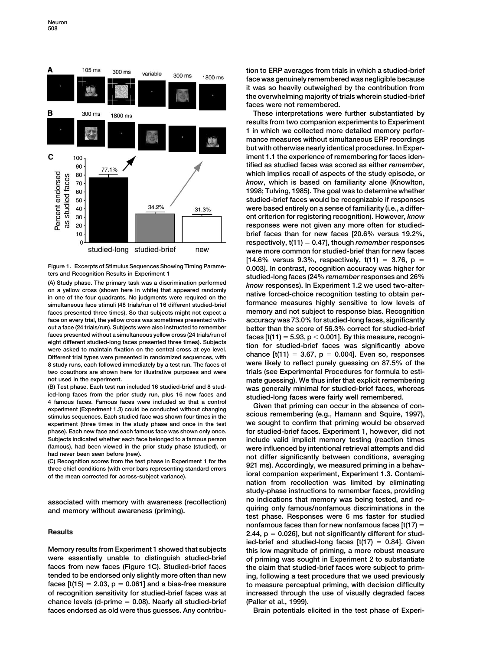

**face on every trial, the yellow cross was sometimes presented with- accuracy was 73.0% for studied-long faces, significantly** faces presented without a simultaneous yellow cross (24 trials/run of<br>
eight different studied-long faces presented three times). Subjects races presented without a simultaneous yellow cross (24 trials/run of<br>
eight different studied-long faces presented three times). Subjects<br>
were asked to maintain fixation on the central cross at eye level.<br>
Different tri **8 study runs, each followed immediately by a test run. The faces of were likely to reflect purely guessing on 87.5% of the two coauthors are shown here for illustrative purposes and were trials (see Experimental Procedures for formula to esti-**

(B) Test phase. Each test run included 16 studied-brief and 8 stud-<br>
ied-long faces from the prior study run, plus 16 new faces and<br>
4 famous faces. Famous faces were included so that a control<br>
experiment (Experiment 1.3)

**chance levels (d-prime 0.08). Nearly all studied-brief (Paller et al., 1999). faces endorsed as old were thus guesses. Any contribu- Brain potentials elicited in the test phase of Experi-**

**tion to ERP averages from trials in which a studied-brief face was genuinely remembered was negligible because it was so heavily outweighed by the contribution from the overwhelming majority of trials wherein studied-brief faces were not remembered.**

**These interpretations were further substantiated by results from two companion experiments to Experiment 1 in which we collected more detailed memory performance measures without simultaneous ERP recordings but with otherwise nearly identical procedures. In Experiment 1.1 the experience of remembering for faces identified as studied faces was scored as either** *remember***, which implies recall of aspects of the study episode, or** *know***, which is based on familiarity alone (Knowlton, 1998; Tulving, 1985). The goal was to determine whether studied-brief faces would be recognizable if responses were based entirely on a sense of familiarity (i.e., a different criterion for registering recognition). However,** *know* **responses were not given any more often for studiedbrief faces than for new faces [20.6% versus 19.2%, respectively, t(11) 0.47], though** *remember* **responses were more common for studied-brief than for new faces** Figure 1. Excerpts of Stimulus Sequences Showing Timing Parame-<br>
ters and Recognition Results in Experiment 1<br>
(A) Study phase. The primary task was a discrimination performed<br>
(A) Study phase. The primary task was a disc **faces presented three times). So that subjects might not expect a memory and not subject to response bias. Recognition** better than the score of 56.3% correct for studied-brief **not used in the experiment. mate guessing). We thus infer that explicit remembering**

**experiment (three times in the study phase and once in the test we sought to confirm that priming would be observed phase). Each new face and each famous face was shown only once. for studied-brief faces. Experiment 1, however, did not Subjects indicated whether each face belonged to a famous person include valid implicit memory testing (reaction times** (famous), had been viewed in the prior study phase (studied), or<br>had never been seen before (new).<br>(C) Recognition scores from the test phase in Experiment 1 for the<br>three chief conditions (with error bars representing sta **nation from recollection was limited by eliminating study-phase instructions to remember faces, providing** associated with memory with awareness (recollection) no indications that memory was being tested, and re-<br>and memory without awareness (priming).<br>test phase. Responses were 6 ms faster for studied<br>test phase. Responses wer **nonfamous faces than for new nonfamous faces [t(17) Results 2.44, p** = 0.026], but not significantly different for stud**ied-brief and studied-long faces [t(17) 0.84]. Given Memory results from Experiment 1 showed that subjects this low magnitude of priming, a more robust measure were essentially unable to distinguish studied-brief of priming was sought in Experiment 2 to substantiate faces from new faces (Figure 1C). Studied-brief faces the claim that studied-brief faces were subject to primtended to be endorsed only slightly more often than new ing, following a test procedure that we used previously faces [t(15) 2.03, p 0.061] and a bias-free measure to measure perceptual priming, with decision difficulty of recognition sensitivity for studied-brief faces was at increased through the use of visually degraded faces**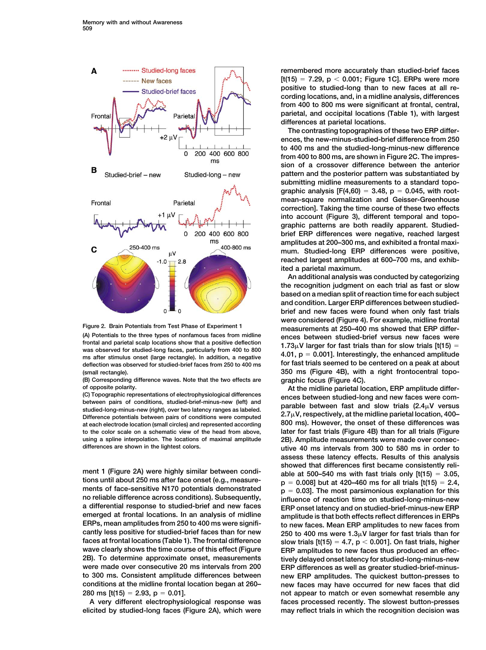

**(A) Potentials to the three types of nonfamous faces from midline ences between studied-brief versus new faces were**  $1.73 \mu$ V larger for fast trials than for slow trials [t(15) =<br>was observed for studied-long faces, particularly from 400 to 800<br>ms after stimulus onset (large rectangle). In addition, a negative  $4.01$ ,  $p = 0.001$ ]. Inte **deflection was observed for studied-brief faces from 250 to 400 ms for fast trials seemed to be centered on a peak at about**

**(B) Corresponding difference waves. Note that the two effects are graphic focus (Figure 4C).**

**a differential response to studied-brief and new faces ERP onset latency and on studied-brief-minus-new ERP** faces at frontal locations (Table 1). The frontal difference wave clearly shows the time course of this effect (Figure **to 300 ms. Consistent amplitude differences between new ERP amplitudes. The quickest button-presses to**

**elicited by studied-long faces (Figure 2A), which were may reflect trials in which the recognition decision was**

**remembered more accurately than studied-brief faces [t(15) 7.29, p** - **0.001; Figure 1C]. ERPs were more positive to studied-long than to new faces at all recording locations, and, in a midline analysis, differences from 400 to 800 ms were significant at frontal, central, parietal, and occipital locations (Table 1), with largest differences at parietal locations.**

**The contrasting topographies of these two ERP differences, the new-minus-studied-brief difference from 250 to 400 ms and the studied-long-minus-new difference from 400 to 800 ms, are shown in Figure 2C. The impression of a crossover difference between the anterior pattern and the posterior pattern was substantiated by submitting midline measurements to a standard topo**graphic analysis  $[F(4,60) = 3.48, p = 0.045, with root$ **mean-square normalization and Geisser-Greenhouse correction]. Taking the time course of these two effects into account (Figure 3), different temporal and topographic patterns are both readily apparent. Studiedbrief ERP differences were negative, reached largest amplitudes at 200–300 ms, and exhibited a frontal maximum. Studied-long ERP differences were positive, reached largest amplitudes at 600–700 ms, and exhibited a parietal maximum.**

**An additional analysis was conducted by categorizing the recognition judgment on each trial as fast or slow based on a median split of reaction time for each subject and condition. Larger ERP differences between studiedbrief and new faces were found when only fast trials were considered (Figure 4). For example, midline frontal Figure 2. Brain Potentials from Test Phase of Experiment 1 measurements at 250–400 ms showed that ERP differ- (small rectangle). 350 ms (Figure 4B), with a right frontocentral topo-**

of opposite polarity.<br>
(C) Topographic representations of electrophysiological differences<br>
(C) Topographic representations of electrophysiological differences<br>
between studied-long and new faces were com-<br>
between pairs **at each electrode location (small circles) and represented according 800 ms). However, the onset of these differences was to the color scale on a schematic view of the head from above, later for fast trials (Figure 4B) than for all trials (Figure using a spline interpolation. The locations of maximal amplitude 2B). Amplitude measurements were made over consecdifferences are shown in the lightest colors. utive 40 ms intervals from 300 to 580 ms in order to assess these latency effects. Results of this analysis** ment 1 (Figure 2A) were highly similar between condi-<br>tions until about 250 ms after face onset (e.g., measure-<br>ments of face-sensitive N170 potentials demonstrated<br>ments of face-sensitive N170 potentials demonstrated<br>the ments or race-sensitive N170 potentials demonstrated<br>no reliable difference across conditions). Subsequently,<br>a differential response to studied-brief and new faces<br>a differential response to studied-brief and new faces<br>F **emerged at frontal locations. In an analysis of midline amplitude is that both effects reflect differences in ERPs ERPs, mean amplitudes from 250 to 400 ms were signifi- to new faces. Mean ERP amplitudes to new faces from cantly less positive for studied-brief faces than for new 250 to 400 ms were 1.3V larger for fast trials than for 0.001]. On fast trials, higher ERP** amplitudes to new faces thus produced an effec-**2B). To determine approximate onset, measurements tively delayed onset latency for studied-long-minus-new were made over consecutive 20 ms intervals from 200 ERP differences as well as greater studied-brief-minusconditions at the midline frontal location began at 260– new faces may have occurred for new faces that did 280 ms [t(15) 2.93, p 0.01]. not appear to match or even somewhat resemble any A very different electrophysiological response was faces processed recently. The slowest button-presses**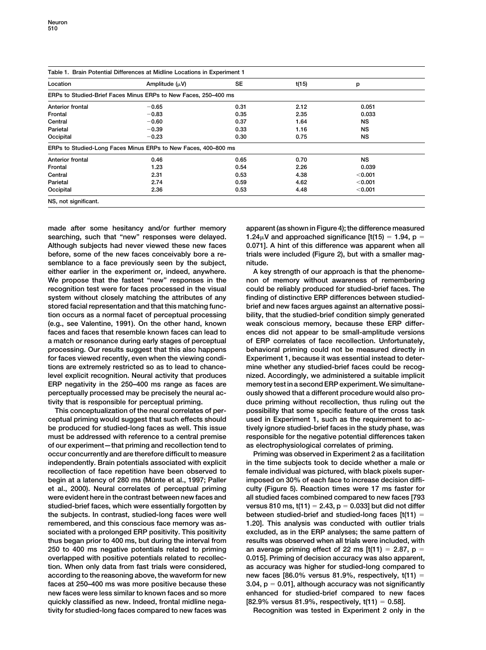| Location         | Amplitude $(\mu V)$                                             | <b>SE</b> |       |           |
|------------------|-----------------------------------------------------------------|-----------|-------|-----------|
|                  |                                                                 |           | t(15) | р         |
|                  | ERPs to Studied-Brief Faces Minus ERPs to New Faces, 250-400 ms |           |       |           |
| Anterior frontal | $-0.65$                                                         | 0.31      | 2.12  | 0.051     |
| Frontal          | $-0.83$                                                         | 0.35      | 2.35  | 0.033     |
| Central          | $-0.60$                                                         | 0.37      | 1.64  | <b>NS</b> |
| Parietal         | $-0.39$                                                         | 0.33      | 1.16  | <b>NS</b> |
| Occipital        | $-0.23$                                                         | 0.30      | 0.75  | ΝS        |
|                  | ERPs to Studied-Long Faces Minus ERPs to New Faces, 400-800 ms  |           |       |           |
| Anterior frontal | 0.46                                                            | 0.65      | 0.70  | <b>NS</b> |
| Frontal          | 1.23                                                            | 0.54      | 2.26  | 0.039     |
| Central          | 2.31                                                            | 0.53      | 4.38  | $<$ 0.001 |
| Parietal         | 2.74                                                            | 0.59      | 4.62  | < 0.001   |
| Occipital        | 2.36                                                            | 0.53      | 4.48  | $<$ 0.001 |

searching, such that "new" responses were delayed.  $1.24 \mu V$  and approached significance  $[t(15) = 1.94, p =$ **before, some of the new faces conceivably bore a re- trials were included (Figure 2), but with a smaller mag**semblance to a face previously seen by the subject, mitude.

**ceptual priming would suggest that such effects should used in Experiment 1, such as the requirement to acbe produced for studied-long faces as well. This issue tively ignore studied-brief faces in the study phase, was must be addressed with reference to a central premise responsible for the negative potential differences taken of our experiment—that priming and recollection tend to as electrophysiological correlates of priming. occur concurrently and are therefore difficult to measure Priming was observed in Experiment 2 as a facilitation independently. Brain potentials associated with explicit in the time subjects took to decide whether a male or** recollection of face repetition have been observed to female individual was pictured, with black pixels super**begin at a latency of 280 ms (Münte et al., 1997; Paller imposed on 30% of each face to increase decision diffiet al., 2000). Neural correlates of perceptual priming culty (Figure 5). Reaction times were 17 ms faster for were evident here in the contrast between new faces and all studied faces combined compared to new faces [793 studied-brief faces, which were essentially forgotten by versus 810 ms, t(11) 2.43, p 0.033] but did not differ the subjects. In contrast, studied-long faces were well between studied-brief and studied-long faces [t(11) remembered, and this conscious face memory was as- 1.20]. This analysis was conducted with outlier trials sociated with a prolonged ERP positivity. This positivity excluded, as in the ERP analyses; the same pattern of thus began prior to 400 ms, but during the interval from results was observed when all trials were included, with 250 to 400 ms negative potentials related to priming an average priming effect of 22 ms [t(11) 2.87, p overlapped with positive potentials related to recollec- 0.015]. Priming of decision accuracy was also apparent, tion. When only data from fast trials were considered, as accuracy was higher for studied-long compared to according to the reasoning above, the waveform for new new faces [86.0% versus 81.9%, respectively, t(11) faces at 250–400 ms was more positive because these 3.04, p 0.01], although accuracy was not significantly new faces were less similar to known faces and so more enhanced for studied-brief compared to new faces quickly classified as new. Indeed, frontal midline nega- [82.9% versus 81.9%, respectively, t(11) 0.58]. tivity for studied-long faces compared to new faces was Recognition was tested in Experiment 2 only in the**

**made after some hesitancy and/or further memory apparent (as shown in Figure 4); the difference measured Although subjects had never viewed these new faces 0.071]. A hint of this difference was apparent when all**

**either earlier in the experiment or, indeed, anywhere. A key strength of our approach is that the phenome-**We propose that the fastest "new" responses in the non of memory without awareness of remembering **recognition test were for faces processed in the visual could be reliably produced for studied-brief faces. The** system without closely matching the attributes of any finding of distinctive ERP differences between studied**stored facial representation and that this matching func- brief and new faces argues against an alternative possition occurs as a normal facet of perceptual processing bility, that the studied-brief condition simply generated (e.g., see Valentine, 1991). On the other hand, known weak conscious memory, because these ERP differ**faces and faces that resemble known faces can lead to ences did not appear to be small-amplitude versions **a match or resonance during early stages of perceptual of ERP correlates of face recollection. Unfortunately, processing. Our results suggest that this also happens behavioral priming could not be measured directly in for faces viewed recently, even when the viewing condi- Experiment 1, because it was essential instead to detertions are extremely restricted so as to lead to chance- mine whether any studied-brief faces could be recoglevel explicit recognition. Neural activity that produces nized. Accordingly, we administered a suitable implicit ERP negativity in the 250–400 ms range as faces are memory test in a second ERP experiment. We simultaneperceptually processed may be precisely the neural ac- ously showed that a different procedure would also protivity that is responsible for perceptual priming. duce priming without recollection, thus ruling out the This conceptualization of the neural correlates of per- possibility that some specific feature of the cross task**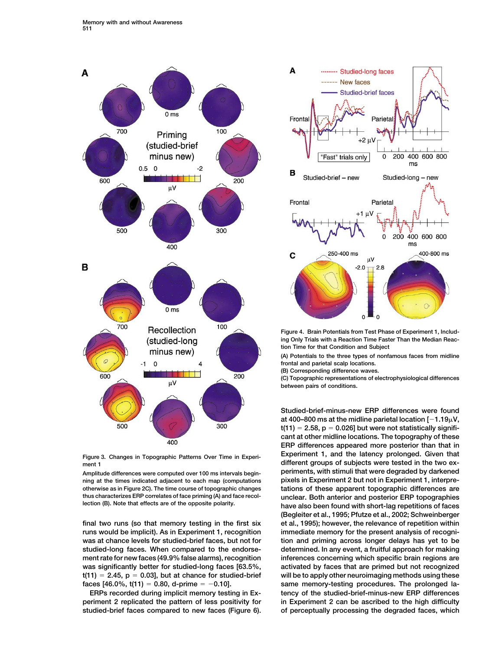

**different groups of subjects were tested in the two ex-**<br>ment 1

 $n$ ing at the times indicated adjacent to each map (computations

**studied-brief faces compared to new faces (Figure 6). of perceptually processing the degraded faces, which**



**Figure 4. Brain Potentials from Test Phase of Experiment 1, Including Only Trials with a Reaction Time Faster Than the Median Reaction Time for that Condition and Subject**

**(A) Potentials to the three types of nonfamous faces from midline frontal and parietal scalp locations.**

**(B) Corresponding difference waves.**

**(C) Topographic representations of electrophysiological differences between pairs of conditions.**

**Studied-brief-minus-new ERP differences were found at 400–800 ms at the midline parietal location [1.19V,**  $t(11) = 2.58$ ,  $p = 0.026$ ] but were not statistically signifi**cant at other midline locations. The topography of these ERP differences appeared more posterior than that in Experiment 1, and the latency prolonged. Given that Figure 3. Changes in Topographic Patterns Over Time in Experi-Amplitude differences were computed over 100 ms intervals begin- periments, with stimuli that were degraded by darkened otherwise as in Figure 2C). The time course of topographic changes tations of these apparent topographic differences are** thus characterizes ERP correlates of face priming (A) and face recol-<br>lection (B). Note that effects are of the opposite polarity.<br>have also been found with short-lag repetitions of faces **(Begleiter et al., 1995; Pfutze et al., 2002; Schweinberger final two runs (so that memory testing in the first six et al., 1995); however, the relevance of repetition within runs would be implicit). As in Experiment 1, recognition immediate memory for the present analysis of recogniwas at chance levels for studied-brief faces, but not for tion and priming across longer delays has yet to be studied-long faces. When compared to the endorse- determined. In any event, a fruitful approach for making ment rate for new faces (49.9% false alarms), recognition inferences concerning which specific brain regions are was significantly better for studied-long faces [63.5%, activated by faces that are primed but not recognized t(11) 2.45, p 0.03], but at chance for studied-brief will be to apply other neuroimaging methods using these** faces  $[46.0\%, t(11) = 0.80, d\text{-prime} = -0.10]$ . same memory-testing procedures. The prolonged la-**ERPs recorded during implicit memory testing in Ex- tency of the studied-brief-minus-new ERP differences periment 2 replicated the pattern of less positivity for in Experiment 2 can be ascribed to the high difficulty**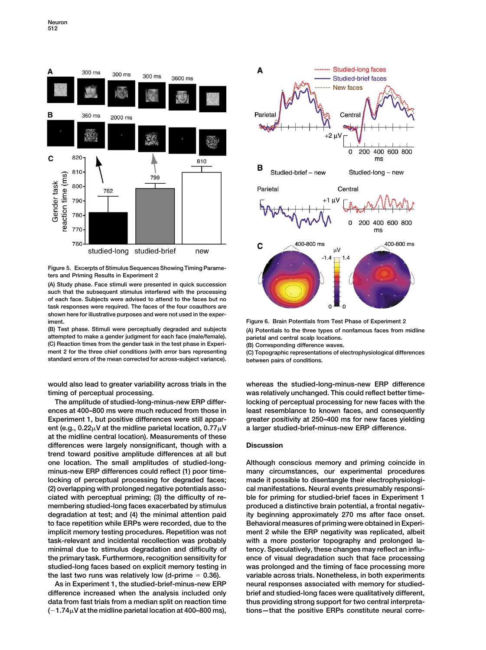

**Figure 5. Excerpts of Stimulus Sequences Showing Timing Parameters and Priming Results in Experiment 2**

**(A) Study phase. Face stimuli were presented in quick succession such that the subsequent stimulus interfered with the processing of each face. Subjects were advised to attend to the faces but no task responses were required. The faces of the four coauthors are shown here for illustrative purposes and were not used in the experiment. Figure 6. Brain Potentials from Test Phase of Experiment 2**

**attempted to make a gender judgment for each face (male/female). parietal and central scalp locations. (C) Reaction times from the gender task in the test phase in Experi- (B) Corresponding difference waves. standard errors of the mean corrected for across-subject variance). between pairs of conditions.**

**would also lead to greater variability across trials in the whereas the studied-long-minus-new ERP difference timing of perceptual processing. was relatively unchanged. This could reflect better time-**

**ences at 400–800 ms were much reduced from those in least resemblance to known faces, and consequently Experiment 1, but positive differences were still appar- greater positivity at 250–400 ms for new faces yielding ent (e.g., 0.22V at the midline parietal location, 0.77V a larger studied-brief-minus-new ERP difference. at the midline central location). Measurements of these differences were largely nonsignificant, though with a Discussion trend toward positive amplitude differences at all but one location. The small amplitudes of studied-long- Although conscious memory and priming coincide in minus-new ERP differences could reflect (1) poor time- many circumstances, our experimental procedures locking of perceptual processing for degraded faces; made it possible to disentangle their electrophysiologi- (2) overlapping with prolonged negative potentials asso- cal manifestations. Neural events presumably responsiciated with perceptual priming; (3) the difficulty of re- ble for priming for studied-brief faces in Experiment 1 membering studied-long faces exacerbated by stimulus produced a distinctive brain potential, a frontal negativdegradation at test; and (4) the minimal attention paid ity beginning approximately 270 ms after face onset. to face repetition while ERPs were recorded, due to the Behavioral measures of priming were obtained in Experiimplicit memory testing procedures. Repetition was not ment 2 while the ERP negativity was replicated, albeit task-relevant and incidental recollection was probably with a more posterior topography and prolonged laminimal due to stimulus degradation and difficulty of tency. Speculatively, these changes may reflect an influthe primary task. Furthermore, recognition sensitivity for ence of visual degradation such that face processing studied-long faces based on explicit memory testing in was prolonged and the timing of face processing more the last two runs was relatively low (d-prime 0.36). variable across trials. Nonetheless, in both experiments**



**(B) Test phase. Stimuli were perceptually degraded and subjects (A) Potentials to the three types of nonfamous faces from midline**

**ment 2 for the three chief conditions (with error bars representing (C) Topographic representations of electrophysiological differences**

**The amplitude of studied-long-minus-new ERP differ- locking of perceptual processing for new faces with the**

As in Experiment 1, the studied-brief-minus-new ERP neural responses associated with memory for studied**difference increased when the analysis included only brief and studied-long faces were qualitatively different, data from fast trials from a median split on reaction time thus providing strong support for two central interpreta- (1.74V at the midline parietal location at 400–800 ms), tions—that the positive ERPs constitute neural corre-**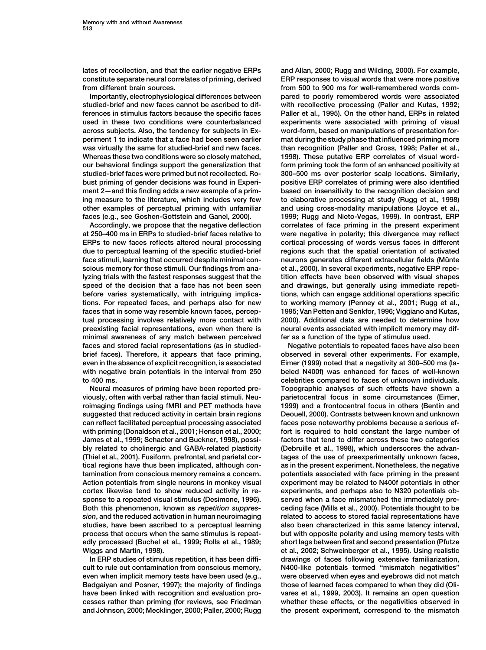**lates of recollection, and that the earlier negative ERPs and Allan, 2000; Rugg and Wilding, 2000). For example,**

**studied-brief and new faces cannot be ascribed to dif- with recollective processing (Paller and Kutas, 1992; ferences in stimulus factors because the specific faces Paller et al., 1995). On the other hand, ERPs in related used in these two conditions were counterbalanced experiments were associated with priming of visual across subjects. Also, the tendency for subjects in Ex- word-form, based on manipulations of presentation forperiment 1 to indicate that a face had been seen earlier mat during the study phase that influenced priming more was virtually the same for studied-brief and new faces. than recognition (Paller and Gross, 1998; Paller et al.,** Whereas these two conditions were so closely matched, and 1998). These putative ERP correlates of visual word**studied-brief faces were primed but not recollected. Ro- 300–500 ms over posterior scalp locations. Similarly, bust priming of gender decisions was found in Experi- positive ERP correlates of priming were also identified ment 2—and this finding adds a new example of a prim- based on insensitivity to the recognition decision and ing measure to the literature, which includes very few to elaborative processing at study (Rugg et al., 1998) other examples of perceptual priming with unfamiliar and using cross-modality manipulations (Joyce et al., faces (e.g., see Goshen-Gottstein and Ganel, 2000). 1999; Rugg and Nieto-Vegas, 1999). In contrast, ERP**

**at 250–400 ms in ERPs to studied-brief faces relative to were negative in polarity; this divergence may reflect ERPs to new faces reflects altered neural processing cortical processing of words versus faces in different due to perceptual learning of the specific studied-brief regions such that the spatial orientation of activated** face stimuli, learning that occurred despite minimal con- neurons generates different extracellular fields (Münte **scious memory for those stimuli. Our findings from ana- et al., 2000). In several experiments, negative ERP repelyzing trials with the fastest responses suggest that the tition effects have been observed with visual shapes speed of the decision that a face has not been seen and drawings, but generally using immediate repetibefore varies systematically, with intriguing implica- tions, which can engage additional operations specific tions. For repeated faces, and perhaps also for new to working memory (Penney et al., 2001; Rugg et al., faces that in some way resemble known faces, percep- 1995; Van Petten and Senkfor, 1996; Viggiano and Kutas, tual processing involves relatively more contact with 2000). Additional data are needed to determine how preexisting facial representations, even when there is neural events associated with implicit memory may difminimal awareness of any match between perceived fer as a function of the type of stimulus used. faces and stored facial representations (as in studied- Negative potentials to repeated faces have also been brief faces). Therefore, it appears that face priming, observed in several other experiments. For example, even in the absence of explicit recognition, is associated Eimer (1999) noted that a negativity at 300–500 ms (lawith negative brain potentials in the interval from 250 beled N400f) was enhanced for faces of well-known**

**viously, often with verbal rather than facial stimuli. Neu- parietocentral focus in some circumstances (Eimer, roimaging findings using fMRI and PET methods have 1999) and a frontocentral focus in others (Bentin and suggested that reduced activity in certain brain regions Deouell, 2000). Contrasts between known and unknown can reflect facilitated perceptual processing associated faces pose noteworthy problems because a serious ef**with priming (Donaldson et al., 2001; Henson et al., 2000; fort is required to hold constant the large number of **James et al., 1999; Schacter and Buckner, 1998), possi- factors that tend to differ across these two categories bly related to cholinergic and GABA-related plasticity (Debruille et al., 1998), which underscores the advan- (Thiel et al., 2001). Fusiform, prefrontal, and parietal cor- tages of the use of preexperimentally unknown faces, tical regions have thus been implicated, although con- as in the present experiment. Nonetheless, the negative tamination from conscious memory remains a concern. potentials associated with face priming in the present Action potentials from single neurons in monkey visual experiment may be related to N400f potentials in other cortex likewise tend to show reduced activity in re- experiments, and perhaps also to N320 potentials ob**sponse to a repeated visual stimulus (Desimone, 1996). Served when a face mismatched the immediately pre-**Both this phenomenon, known as** *repetition suppres-* **ceding face (Mills et al., 2000). Potentials thought to be** *sion***, and the reduced activation in human neuroimaging related to access to stored facial representations have studies, have been ascribed to a perceptual learning also been characterized in this same latency interval, process that occurs when the same stimulus is repeat- but with opposite polarity and using memory tests with edly processed (Buchel et al., 1999; Rolls et al., 1989; short lags between first and second presentation (Pfutze**

**cult to rule out contamination from conscious memory, N400-like potentials termed "mismatch negativities" even when implicit memory tests have been used (e.g., were observed when eyes and eyebrows did not match Badgaiyan and Posner, 1997); the majority of findings those of learned faces compared to when they did (Olihave been linked with recognition and evaluation pro- vares et al., 1999, 2003). It remains an open question cesses rather than priming (for reviews, see Friedman whether these effects, or the negativities observed in and Johnson, 2000; Mecklinger, 2000; Paller, 2000; Rugg the present experiment, correspond to the mismatch**

**constitute separate neural correlates of priming, derived ERP responses to visual words that were more positive** from different brain sources. **the same of the state of the state of the state of the state of the state of the state of the state of the state of the state of the state of the state of the state of the state of the state Importantly, electrophysiological differences between pared to poorly remembered words were associated our behavioral findings support the generalization that form priming took the form of an enhanced positivity at Accordingly, we propose that the negative deflection correlates of face priming in the present experiment**

**to 400 ms. celebrities compared to faces of unknown individuals. Neural measures of priming have been reported pre- Topographic analyses of such effects have shown a Wiggs and Martin, 1998). et al., 2002; Schweinberger et al., 1995). Using realistic In ERP studies of stimulus repetition, it has been diffi- drawings of faces following extensive familiarization,**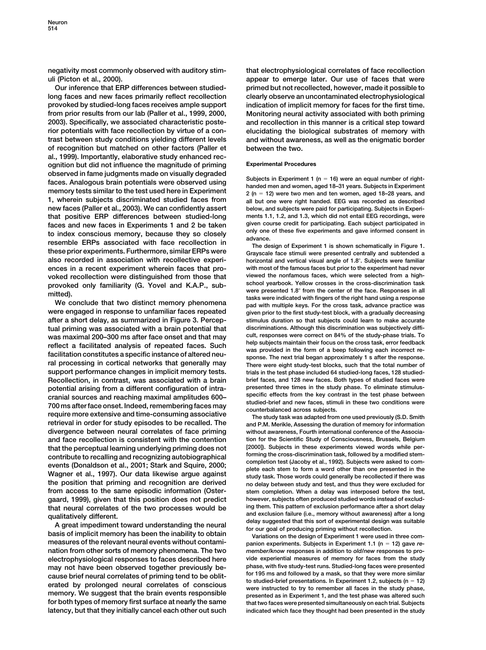**negativity most commonly observed with auditory stim- that electrophysiological correlates of face recollection uli (Picton et al., 2000). appear to emerge later. Our use of faces that were**

**long faces and new faces primarily reflect recollection clearly observe an uncontaminated electrophysiological provoked by studied-long faces receives ample support indication of implicit memory for faces for the first time. from prior results from our lab (Paller et al., 1999, 2000, Monitoring neural activity associated with both priming 2003). Specifically, we associated characteristic poste- and recollection in this manner is a critical step toward rior potentials with face recollection by virtue of a con- elucidating the biological substrates of memory with trast between study conditions yielding different levels and without awareness, as well as the enigmatic border of recognition but matched on other factors (Paller et between the two. al., 1999). Importantly, elaborative study enhanced recognition but did not influence the magnitude of priming Experimental Procedures** observed in fame judgments made on visually degraded<br>faces. Analogous brain potentials were observed using<br>memory tests similar to the test used here in Experiment<br> $\frac{2(n-12)}{n}$  were two men and ten women, aged 18-28 yea **1, wherein subjects discriminated studied faces from all but one were right handed. EEG was recorded as described new faces (Paller et al., 2003). We can confidently assert below, and subjects were paid for participating. Subjects in Experithat positive ERP differences between studied-long ments 1.1, 1.2, and 1.3, which did not entail EEG recordings, were** Faces and new faces in Experiments 1 and 2 be taken<br>to index conscious memory, because they so closely<br>resemble ERPs associated with face recollection in<br>these prior experiments. Furthermore, similar ERPs were<br>these prior **also recorded in association with recollective experi- horizontal and vertical visual angle of 1.8. Subjects were familiar ences in a recent experiment wherein faces that pro- with most of the famous faces but prior to the experiment had never voked recollection were distinguished from those that** viewed the nonfamous faces, which were selected from a high-<br>**provoked** only familiarity (G, Yovel and K A P, sub-, school yearbook. Yellow crosses in the cross-discr

**were engaged in response to unfamiliar faces repeated given prior to the first study-test block, with a gradually decreasing after a short delay, as summarized in Figure 3. Percep- stimulus duration so that subjects could learn to make accurate** tual priming was associated with a brain potential that discriminations. Although this discrimination was subjectively diffi-<br>was maximal 200–300 ms after face onset and that may cult, responses were correct on 84% of the **was maximal 200–300 ms after face onset and that may cult, responses were correct on 84% of the study-phase trials. To** reflect a facilitated analysis of repeated faces. Such<br>facilitation constitutes a specific instance of altered neu-<br>ral processing in cortical networks that generally may<br>ponse. The next trial began approximately 1 s after **support performance changes in implicit memory tests. trials in the test phase included 64 studied-long faces, 128 studied-Recollection, in contrast, was associated with a brain brief faces, and 128 new faces. Both types of studied faces were potential arising from a different configuration of intra- presented three times in the study phase. To eliminate stimulus**cranial sources and reaching maximal amplitudes 600-<br>
700 ms after face onset. Indeed, remembering faces may<br>
require more extensive and time-consuming associative<br>
retrieval in order for study episodes to be recalled. The **divergence between neural correlates of face priming without awareness, Fourth international conference of the Associaand face recollection is consistent with the contention tion for the Scientific Study of Consciousness, Brussels, Belgium** that the perceptual learning underlying priming does not can be all these experiments viewed words while per-<br>contribute to recalling and recognizing autobiographical entirelying priming the cross-discrimination task, foll **the position that priming and recognition are derived no delay between study and test, and thus they were excluded for from access to the same episodic information (Oster- stem completion. When a delay was interposed before the test,** gaard, 1999), given that this position does not predict however, subjects often produced studied words instead of exclud-<br>
that neural correlates of the two processes would be ing them. This pattern of exclusion performanc

**measures of the relevant neural events without contami- panion experiments. Subjects in Experiment 1.1 (n 12) gave** *re***nation from other sorts of memory phenomena. The two** *member***/***know* **responses in addition to** *old/new* **responses to proelectrophysiological responses to faces described here vide experiential measures of memory for faces from the study may not have been observed together previously be- phase, with five study-test runs. Studied-long faces were presented** cause brief neural correlates of priming tend to be oblit-<br>erated by prolonged neural correlates of conscious<br>memory. We suggest that the brain events responsible<br>memory. We suggest that the brain events responsible<br>presen **for both types of memory first surface at nearly the same that two faces were presented simultaneously on each trial. Subjects latency, but that they initially cancel each other out such indicated which face they thought had been presented in the study**

**Our inference that ERP differences between studied- primed but not recollected, however, made it possible to**

provoked only familiarity (G. Yovel and K.A.P., sub-<br>mitted).<br>We conclude that two distinct memory phenomena<br>We conclude that two distinct memory phenomena<br>pad with multiple keys. For the cross task, advance practice was There were eight study-test blocks, such that the total number of

and P.M. Merikle, Assessing the duration of memory for information that neural correlates of the two processes would be<br>qualitatively different.<br>A great impediment toward understanding the neural<br>basis of implicit memory has been the inability to obtain<br>basis of implicit memory has been t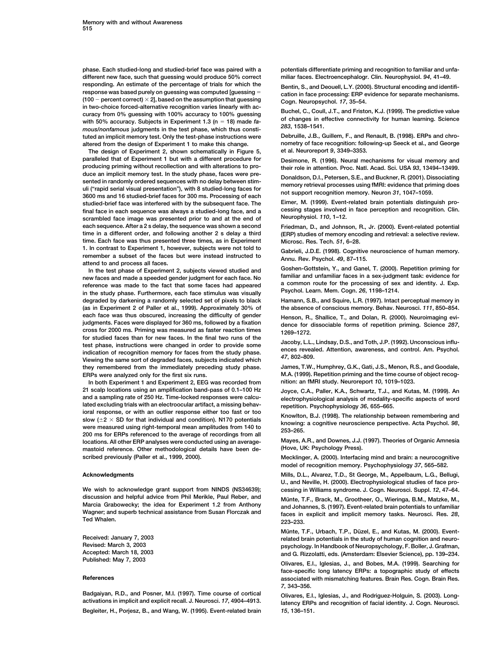**different new face, such that guessing would produce 50% correct miliar faces. Electroencephalogr. Clin. Neurophysiol.** *94***, 41–49.** responding. An estimate of the percentage of trials for which the<br>response was based purely on guessing was computed [guessing =<br>(100 – percent correct)  $\times$  2], based on the assumption that guessing<br>in two-choice forcedthe world current of the current of the mean of the current states in Experiment 1.3 (n = 18) made farmed the current of changes in effective connectivity for human learning. Science with 50% accuracy. Subjects in Experim *<sup>283</sup>***, 1538–1541.** *mous***/***nonfamous* **judgments in the test phase, which thus constituted an implicit memory test. Only the test-phase instructions were Debruille, J.B., Guillem, F., and Renault, B. (1998). ERPs and chro-**

**The design of Experiment 2, shown schematically in Figure 5, et al. Neuroreport** *9***, 3349–3353. paralleled that of Experiment 1 but with a different procedure for Desimone, R. (1996). Neural mechanisms for visual memory and producing priming without recollection and with alterations to pro- their role in attention. Proc. Natl. Acad. Sci. USA** *93***, 13494–13499.** Solution of the studied-long faces were pre-<br>set in the study phase, access were pre-<br>uli ("rapid serial processes using fMRI: evidence that priming does<br>uli ("rapid serial visual presentation"), with 8 studied-long faces studied-brief face was interfered with by the subsequent face. The final face in each sequence was always a studied-long face, and a cessing stages involved in face perception and recognition. Clin.<br>*serambled face image was presented prior to and at the end of* **Neurophysiol. 110, 1–12.** scrambled face image was presented prior to and at the end of each sequence. After a 2 s delay, the sequence was shown a second<br> **Friedman, D., and folloming antitional**<br>
(ERP) studies of memory encoding and retrival: a selective review. **time. Each face was thus presented three times, as in Experiment Microsc. Res. Tech.** *51***, 6–28.**

1. In contrast to Experiment 1, however, subjects were not told to<br>
remember a subset of the faces but were instead instructed to<br>
attend to and process all faces.<br>
In the test phase of Experiment 2, subjects viewed studie **degraded by darkening a randomly selected set of pixels to black Hamann, S.B., and Squire, L.R. (1997). Intact perceptual memory in (as in Experiment 2 of Paller et al., 1999). Approximately 30% of the absence of conscious memory. Behav. Neurosci.** *111***, 850–854.** each face was thus obscured, increasing the difficulty of gender<br>judgments. Faces were displayed for 360 ms, followed by a fixation<br>cross for 2000 ms. Priming was measured as faster reaction times<br>1969–1979 **for studied faces than for new faces. In the final two runs of the** be the same software changed in order to provide some<br>indication of recognitions were changed in order to provide some<br>indication of recognition memory for faces from the study phase.<br>Viewing the same sort of degraded face they remembered from the immediately preceding study phase.

**In both Experiment 1 and Experiment 2, EEG was recorded from 21 scalp locations using an amplification band-pass of 0.1–100 Hz Joyce, C.A., Paller, K.A., Schwartz, T.J., and Kutas, M. (1999). An lated excluding trials with an electroocular artifact, a missing behav- repetition. Psychophysiology** *36***, 655–665.** For that individual and condition). N170 potentials<br>solve  $(±2 × SD$  for that individual and condition). N170 potentials<br>were measured using right-temporal mean amplitudes from 140 to<br>200 ms for ERPs referenced to the averag **locations. All other ERP analyses were conducted using an average- Mayes, A.R., and Downes, J.J. (1997). Theories of Organic Amnesia** mastoid reference. Other methodological details have been de**scribed previously (Paller et al., 1999, 2000). Mecklinger, A. (2000). Interfacing mind and brain: a neurocognitive**

**We wish to acknowledge grant support from NINDS (NS34639); cessing in Williams syndrome. J. Cogn. Neurosci. Suppl.** *12***, 47–64.** discussion and helpful advice from Phil Merikle, Paul Reber, and<br>
Münte, T.F., Brack, M., Grootheer, O., Wieringa, B.M., Matzke, M.,<br>
Marcia Grabowecky; the idea for Experiment 1.2 from Anthony<br>
Wagner; and superb technica

Badgaiyan, R.D., and Posner, M.I. (1997). Time course of cortical Olivares, E.I., Iglesias, J., and Rodriguez-Holguin, S. (2003). Long-<br>activations in implicit and explicit recall. J. Neurosci. 17, 4904–4913. latency ERPs

**Begleiter, H., Porjesz, B., and Wang, W. (1995). Event-related brain** *15***, 136–151.**

**phase. Each studied-long and studied-brief face was paired with a potentials differentiate priming and recognition to familiar and unfa-**

**altered from the design of Experiment 1 to make this change. nometry of face recognition: following-up Seeck et al., and George**

**(ERP)** studies of memory encoding and retrieval: a selective review.

**ERPs were analyzed only for the first six runs. M.A. (1999). Repetition priming and the time course of object recog-**

**and a sampling rate of 250 Hz. Time-locked responses were calcu- electrophysiological analysis of modality-specific aspects of word**

**model of recognition memory. Psychophysiology** *37***, 565–582.**

**Acknowledgments Mills, D.L., Alvarez, T.D., St George, M., Appelbaum, L.G., Bellugi, U., and Neville, H. (2000). Electrophysiological studies of face pro-**

Münte, T.F., Urbach, T.P., Düzel, E., and Kutas, M. (2000). Event-**Received: January 7, 2003 related brain potentials in the study of human cognition and neuro-Revised: March 3, 2003 psychology. In Handbook of Neuropsychology, F. Boller, J. Grafman, Accepted: March 18, 2003 and G. Rizzolatti, eds. (Amsterdam: Elsevier Science), pp. 139–234.**

**Published: May 7, 2003 Olivares, E.I., Iglesias, J., and Bobes, M.A. (1999). Searching for face-specific long latency ERPs: a topographic study of effects References associated with mismatching features. Brain Res. Cogn. Brain Res.** *7***, 343–356.**